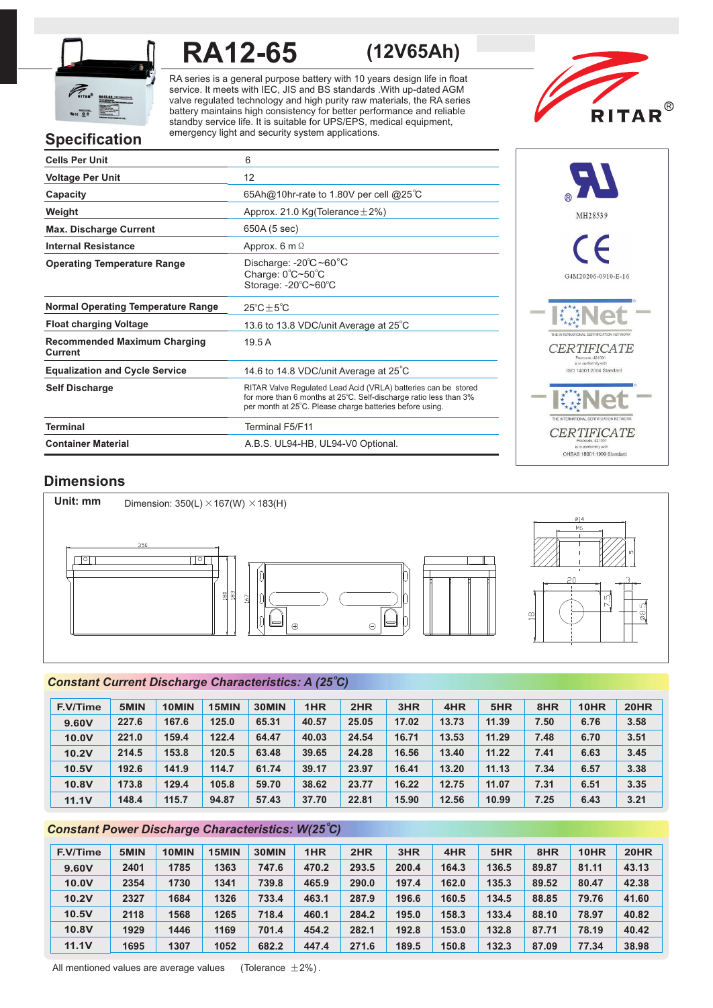

# **RA12-65 (12V65Ah)**

RA series is a general purpose battery with 10 years design life in float service. It meets with IEC, JIS and BS standards .With up-dated AGM valve regulated technology and high purity raw materials, the RA series battery maintains high consistency for better performance and reliable standby service life. It is suitable for UPS/EPS, medical equipment, emergency light and security system applications.



# **Specification**

| <b>Cells Per Unit</b>                          | 6                                                                                                                                                                                               |
|------------------------------------------------|-------------------------------------------------------------------------------------------------------------------------------------------------------------------------------------------------|
| <b>Voltage Per Unit</b>                        | 12                                                                                                                                                                                              |
| Capacity                                       | 65Ah@10hr-rate to 1.80V per cell @25°C                                                                                                                                                          |
| Weight                                         | Approx. 21.0 Kg(Tolerance $\pm$ 2%)                                                                                                                                                             |
| <b>Max. Discharge Current</b>                  | 650A (5 sec)                                                                                                                                                                                    |
| <b>Internal Resistance</b>                     | Approx. 6 m $\Omega$                                                                                                                                                                            |
| <b>Operating Temperature Range</b>             | Discharge: $-20^{\circ}$ C ~60 $^{\circ}$ C<br>Charge: 0°C~50°C<br>Storage: -20°C~60°C                                                                                                          |
| <b>Normal Operating Temperature Range</b>      | $25^{\circ}$ C $\pm$ 5 $^{\circ}$ C                                                                                                                                                             |
| <b>Float charging Voltage</b>                  | 13.6 to 13.8 VDC/unit Average at 25°C                                                                                                                                                           |
| <b>Recommended Maximum Charging</b><br>Current | 19.5A                                                                                                                                                                                           |
| <b>Equalization and Cycle Service</b>          | 14.6 to 14.8 VDC/unit Average at 25°C                                                                                                                                                           |
| <b>Self Discharge</b>                          | RITAR Valve Regulated Lead Acid (VRLA) batteries can be stored<br>for more than 6 months at 25°C. Self-discharge ratio less than 3%<br>per month at 25°C. Please charge batteries before using. |
| <b>Terminal</b>                                | <b>Terminal F5/F11</b>                                                                                                                                                                          |
| <b>Container Material</b>                      | A.B.S. UL94-HB, UL94-V0 Optional.                                                                                                                                                               |



Sin contermity with<br>OHSAS 18001:1999 Standard

### **Dimensions**



### *o Constant Current Discharge Characteristics: A (25 C)*

| <b>F.V/Time</b> | 5MIN  | 10MIN | 15MIN | 30MIN | 1HR   | 2HR   | 3HR   | 4HR   | 5HR   | 8HR  | 10HR | <b>20HR</b> |
|-----------------|-------|-------|-------|-------|-------|-------|-------|-------|-------|------|------|-------------|
| 9.60V           | 227.6 | 167.6 | 125.0 | 65.31 | 40.57 | 25.05 | 17.02 | 13.73 | 11.39 | 7.50 | 6.76 | 3.58        |
| 10.0V           | 221.0 | 159.4 | 122.4 | 64.47 | 40.03 | 24.54 | 16.71 | 13.53 | 11.29 | 7.48 | 6.70 | 3.51        |
| 10.2V           | 214.5 | 153.8 | 120.5 | 63.48 | 39.65 | 24.28 | 16.56 | 13.40 | 11.22 | 7.41 | 6.63 | 3.45        |
| 10.5V           | 192.6 | 141.9 | 114.7 | 61.74 | 39.17 | 23.97 | 16.41 | 13.20 | 11.13 | 7.34 | 6.57 | 3.38        |
| 10.8V           | 173.8 | 129.4 | 105.8 | 59.70 | 38.62 | 23.77 | 16.22 | 12.75 | 11.07 | 7.31 | 6.51 | 3.35        |
| 11.1V           | 148.4 | 115.7 | 94.87 | 57.43 | 37.70 | 22.81 | 15.90 | 12.56 | 10.99 | 7.25 | 6.43 | 3.21        |

### *o Constant Power Discharge Characteristics: W(25 C)*

| <b>F.V/Time</b> | 5MIN | 10MIN | 15MIN | 30MIN | 1HR   | 2HR   | 3HR   | 4HR   | 5HR   | 8HR   | 10HR  | <b>20HR</b> |
|-----------------|------|-------|-------|-------|-------|-------|-------|-------|-------|-------|-------|-------------|
| 9.60V           | 2401 | 1785  | 1363  | 747.6 | 470.2 | 293.5 | 200.4 | 164.3 | 136.5 | 89.87 | 81.11 | 43.13       |
| 10.0V           | 2354 | 1730  | 1341  | 739.8 | 465.9 | 290.0 | 197.4 | 162.0 | 135.3 | 89.52 | 80.47 | 42.38       |
| 10.2V           | 2327 | 1684  | 1326  | 733.4 | 463.1 | 287.9 | 196.6 | 160.5 | 134.5 | 88.85 | 79.76 | 41.60       |
| 10.5V           | 2118 | 1568  | 1265  | 718.4 | 460.1 | 284.2 | 195.0 | 158.3 | 133.4 | 88.10 | 78.97 | 40.82       |
| 10.8V           | 1929 | 1446  | 1169  | 701.4 | 454.2 | 282.1 | 192.8 | 153.0 | 132.8 | 87.71 | 78.19 | 40.42       |
| 11.1V           | 1695 | 1307  | 1052  | 682.2 | 447.4 | 271.6 | 189.5 | 150.8 | 132.3 | 87.09 | 77.34 | 38.98       |

All mentioned values are average values (Tolerance  $\pm 2\%$ ).